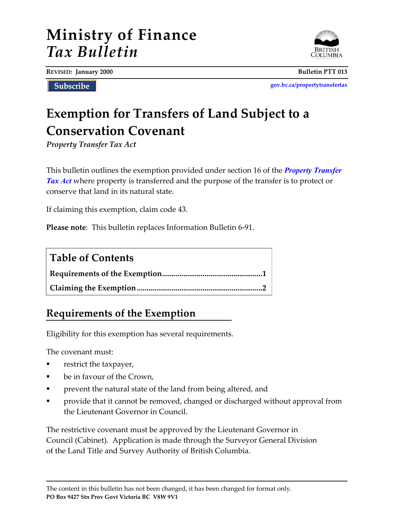# **Ministry of Finance** *Tax Bulletin*

**REVISED: January 2000 Bulletin PTT 013**

Subscribe

**[gov.bc.ca/propertytransfertax](http://www.gov.bc.ca/propertytransfertax)**

# **Exemption for Transfers of Land Subject to a Conservation Covenant**

*Property Transfer Tax Act*

This bulletin outlines the exemption provided under section 16 of the *[Property Transfer](http://www.bclaws.ca/EPLibraries/bclaws_new/document/ID/freeside/00_96378_01)  [Tax Act](http://www.bclaws.ca/EPLibraries/bclaws_new/document/ID/freeside/00_96378_01)* where property is transferred and the purpose of the transfer is to protect or conserve that land in its natural state.

If claiming this exemption, claim code 43.

**Please note**: This bulletin replaces Information Bulletin 6-91.

| <b>Table of Contents</b> |
|--------------------------|
|                          |
|                          |

### **Requirements of the Exemption**

Eligibility for this exemption has several requirements.

The covenant must:

- restrict the taxpayer,
- be in favour of the Crown,
- **•** prevent the natural state of the land from being altered, and
- **•** provide that it cannot be removed, changed or discharged without approval from the Lieutenant Governor in Council.

The restrictive covenant must be approved by the Lieutenant Governor in Council (Cabinet). Application is made through the Surveyor General Division of the Land Title and Survey Authority of British Columbia.

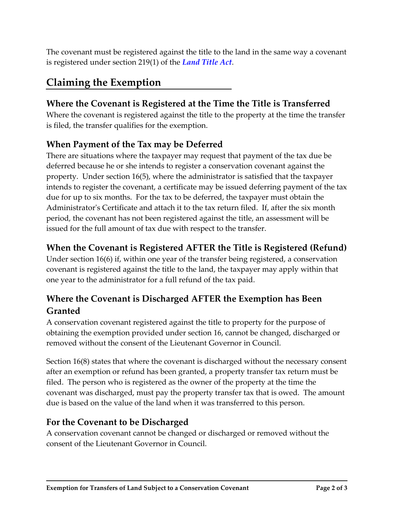The covenant must be registered against the title to the land in the same way a covenant is registered under section 219(1) of the *[Land Title Act](http://www.bclaws.ca/EPLibraries/bclaws_new/document/ID/freeside/96250_00)*.

## **Claiming the Exemption**

#### **Where the Covenant is Registered at the Time the Title is Transferred**

Where the covenant is registered against the title to the property at the time the transfer is filed, the transfer qualifies for the exemption.

#### **When Payment of the Tax may be Deferred**

There are situations where the taxpayer may request that payment of the tax due be deferred because he or she intends to register a conservation covenant against the property. Under section 16(5), where the administrator is satisfied that the taxpayer intends to register the covenant, a certificate may be issued deferring payment of the tax due for up to six months. For the tax to be deferred, the taxpayer must obtain the Administrator's Certificate and attach it to the tax return filed. If, after the six month period, the covenant has not been registered against the title, an assessment will be issued for the full amount of tax due with respect to the transfer.

#### **When the Covenant is Registered AFTER the Title is Registered (Refund)**

Under section 16(6) if, within one year of the transfer being registered, a conservation covenant is registered against the title to the land, the taxpayer may apply within that one year to the administrator for a full refund of the tax paid.

### **Where the Covenant is Discharged AFTER the Exemption has Been Granted**

A conservation covenant registered against the title to property for the purpose of obtaining the exemption provided under section 16, cannot be changed, discharged or removed without the consent of the Lieutenant Governor in Council.

Section 16(8) states that where the covenant is discharged without the necessary consent after an exemption or refund has been granted, a property transfer tax return must be filed. The person who is registered as the owner of the property at the time the covenant was discharged, must pay the property transfer tax that is owed. The amount due is based on the value of the land when it was transferred to this person.

#### **For the Covenant to be Discharged**

A conservation covenant cannot be changed or discharged or removed without the consent of the Lieutenant Governor in Council.